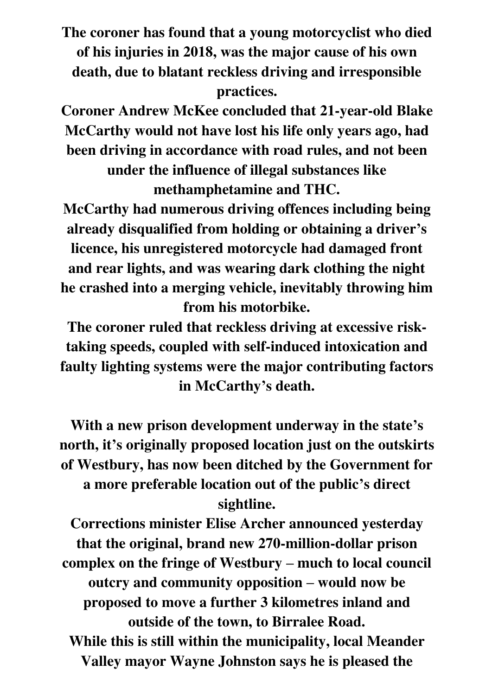**The coroner has found that a young motorcyclist who died of his injuries in 2018, was the major cause of his own death, due to blatant reckless driving and irresponsible practices.** 

**Coroner Andrew McKee concluded that 21-year-old Blake McCarthy would not have lost his life only years ago, had been driving in accordance with road rules, and not been under the influence of illegal substances like methamphetamine and THC.** 

**McCarthy had numerous driving offences including being already disqualified from holding or obtaining a driver's licence, his unregistered motorcycle had damaged front and rear lights, and was wearing dark clothing the night he crashed into a merging vehicle, inevitably throwing him from his motorbike.** 

**The coroner ruled that reckless driving at excessive risktaking speeds, coupled with self-induced intoxication and faulty lighting systems were the major contributing factors in McCarthy's death.** 

**With a new prison development underway in the state's north, it's originally proposed location just on the outskirts of Westbury, has now been ditched by the Government for a more preferable location out of the public's direct sightline.** 

**Corrections minister Elise Archer announced yesterday that the original, brand new 270-million-dollar prison complex on the fringe of Westbury – much to local council outcry and community opposition – would now be proposed to move a further 3 kilometres inland and outside of the town, to Birralee Road. While this is still within the municipality, local Meander Valley mayor Wayne Johnston says he is pleased the**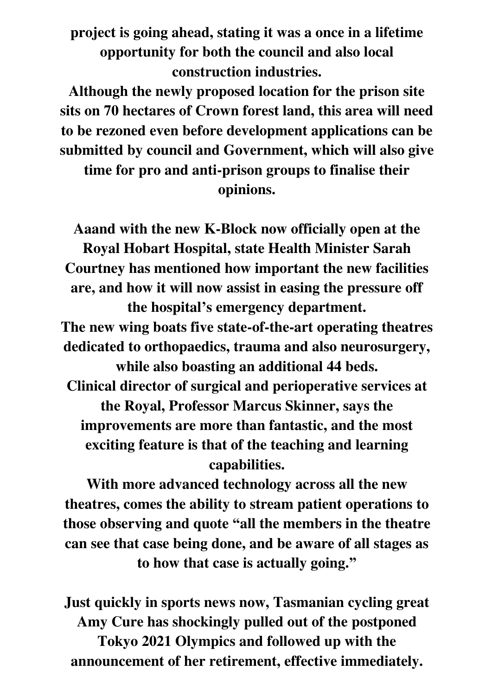**project is going ahead, stating it was a once in a lifetime opportunity for both the council and also local construction industries.** 

**Although the newly proposed location for the prison site sits on 70 hectares of Crown forest land, this area will need to be rezoned even before development applications can be submitted by council and Government, which will also give** 

**time for pro and anti-prison groups to finalise their opinions.** 

**Aaand with the new K-Block now officially open at the Royal Hobart Hospital, state Health Minister Sarah Courtney has mentioned how important the new facilities are, and how it will now assist in easing the pressure off the hospital's emergency department. The new wing boats five state-of-the-art operating theatres dedicated to orthopaedics, trauma and also neurosurgery, while also boasting an additional 44 beds. Clinical director of surgical and perioperative services at the Royal, Professor Marcus Skinner, says the improvements are more than fantastic, and the most exciting feature is that of the teaching and learning capabilities.** 

**With more advanced technology across all the new theatres, comes the ability to stream patient operations to those observing and quote "all the members in the theatre can see that case being done, and be aware of all stages as to how that case is actually going."**

**Just quickly in sports news now, Tasmanian cycling great Amy Cure has shockingly pulled out of the postponed Tokyo 2021 Olympics and followed up with the announcement of her retirement, effective immediately.**